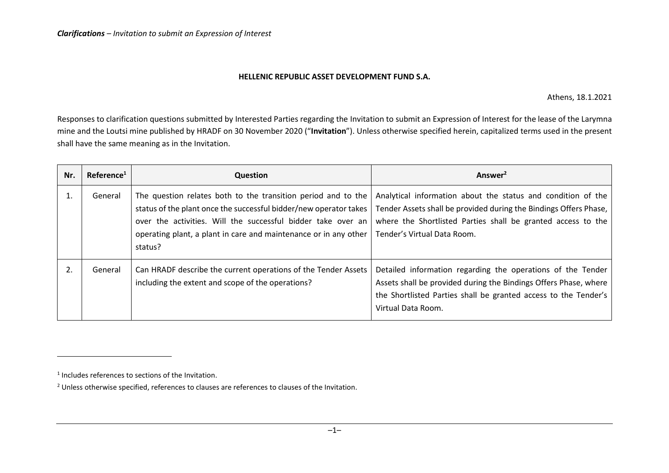## **HELLENIC REPUBLIC ASSET DEVELOPMENT FUND S.A.**

Athens, 18.1.2021

Responses to clarification questions submitted by Interested Parties regarding the Invitation to submit an Expression of Interest for the lease of the Larymna mine and the Loutsi mine published by HRADF on 30 November 2020 ("**Invitation**"). Unless otherwise specified herein, capitalized terms used in the present shall have the same meaning as in the Invitation.

| Nr. | Reference <sup>1</sup> | Question                                                                                                                                                                                                                                                                          | Answer <sup>2</sup>                                                                                                                                                                                                              |
|-----|------------------------|-----------------------------------------------------------------------------------------------------------------------------------------------------------------------------------------------------------------------------------------------------------------------------------|----------------------------------------------------------------------------------------------------------------------------------------------------------------------------------------------------------------------------------|
|     | General                | The question relates both to the transition period and to the<br>status of the plant once the successful bidder/new operator takes<br>over the activities. Will the successful bidder take over an<br>operating plant, a plant in care and maintenance or in any other<br>status? | Analytical information about the status and condition of the<br>Tender Assets shall be provided during the Bindings Offers Phase,<br>where the Shortlisted Parties shall be granted access to the<br>Tender's Virtual Data Room. |
| 2.  | General                | Can HRADF describe the current operations of the Tender Assets<br>including the extent and scope of the operations?                                                                                                                                                               | Detailed information regarding the operations of the Tender<br>Assets shall be provided during the Bindings Offers Phase, where<br>the Shortlisted Parties shall be granted access to the Tender's<br>Virtual Data Room.         |

<sup>&</sup>lt;sup>1</sup> Includes references to sections of the Invitation.

<sup>&</sup>lt;sup>2</sup> Unless otherwise specified, references to clauses are references to clauses of the Invitation.